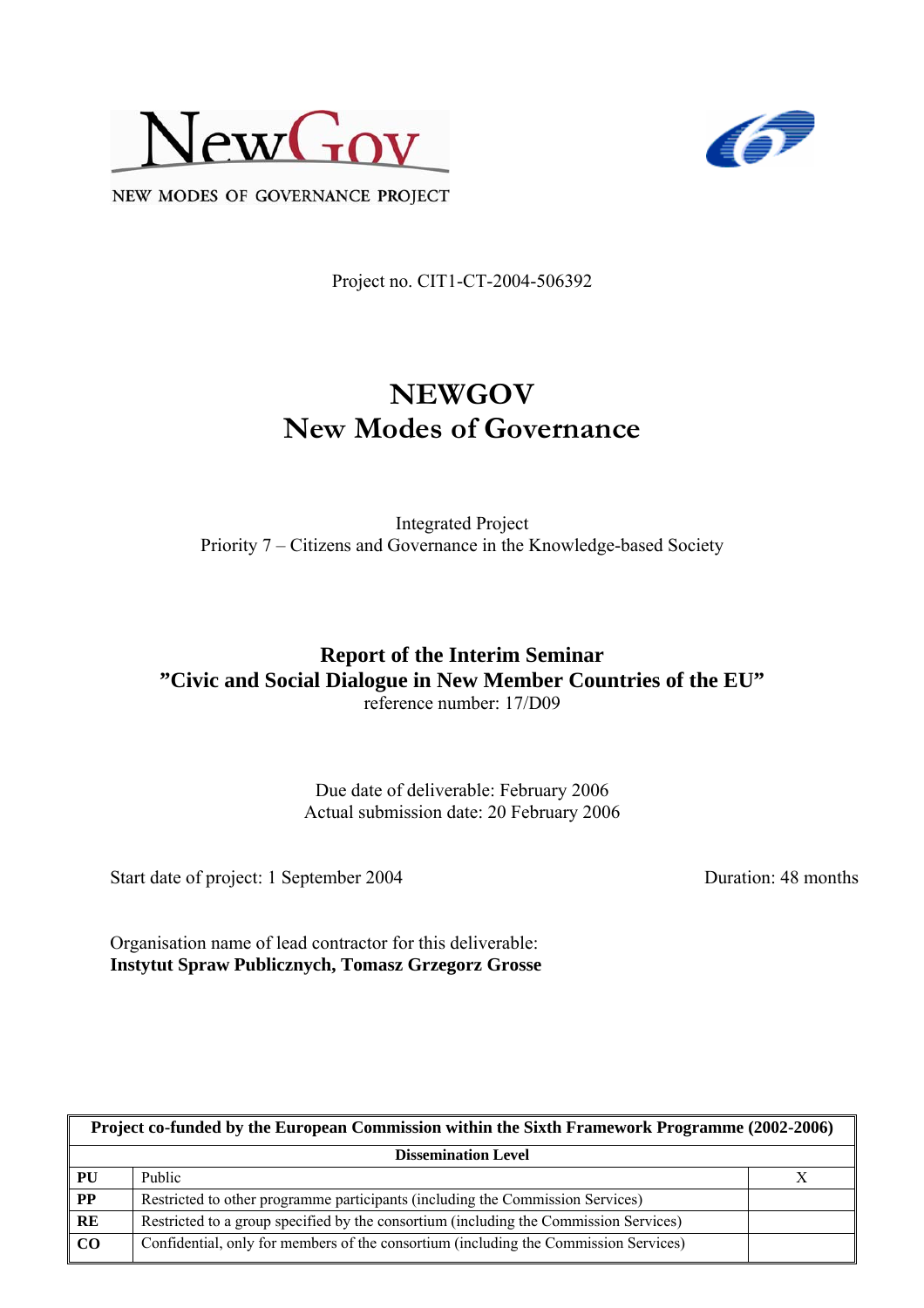



NEW MODES OF GOVERNANCE PROJECT

Project no. CIT1-CT-2004-506392

# **NEWGOV New Modes of Governance**

Integrated Project Priority 7 – Citizens and Governance in the Knowledge-based Society

### **Report of the Interim Seminar "Civic and Social Dialogue in New Member Countries of the EU"**  reference number: 17/D09

Due date of deliverable: February 2006 Actual submission date: 20 February 2006

Start date of project: 1 September 2004 Duration: 48 months

Organisation name of lead contractor for this deliverable: **Instytut Spraw Publicznych, Tomasz Grzegorz Grosse** 

| Project co-funded by the European Commission within the Sixth Framework Programme (2002-2006) |                                                                                       |  |  |  |
|-----------------------------------------------------------------------------------------------|---------------------------------------------------------------------------------------|--|--|--|
| <b>Dissemination Level</b>                                                                    |                                                                                       |  |  |  |
| PU                                                                                            | Public                                                                                |  |  |  |
| $\overline{PP}$                                                                               | Restricted to other programme participants (including the Commission Services)        |  |  |  |
| RE                                                                                            | Restricted to a group specified by the consortium (including the Commission Services) |  |  |  |
| CO                                                                                            | Confidential, only for members of the consortium (including the Commission Services)  |  |  |  |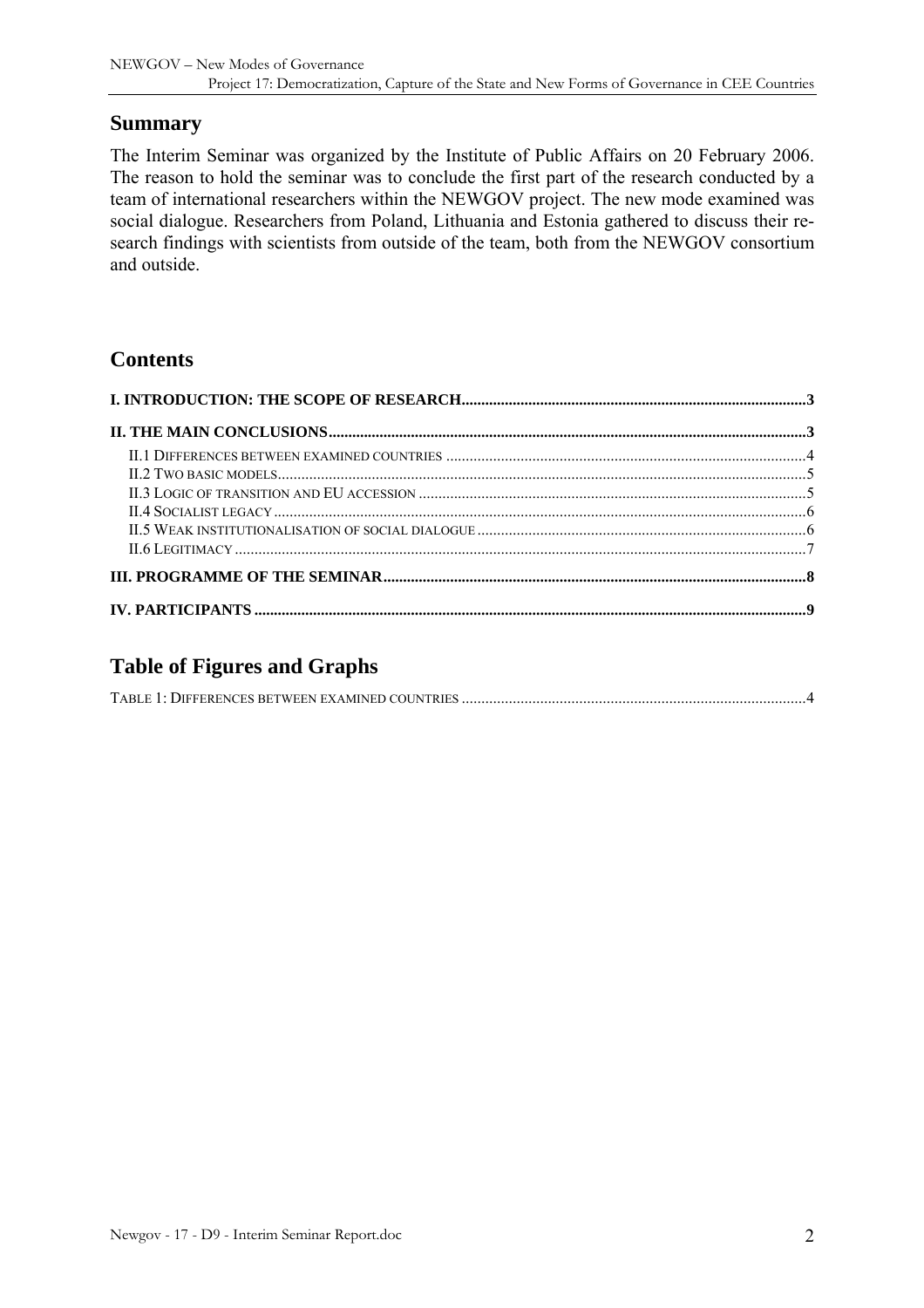### **Summary**

The Interim Seminar was organized by the Institute of Public Affairs on 20 February 2006. The reason to hold the seminar was to conclude the first part of the research conducted by a team of international researchers within the NEWGOV project. The new mode examined was social dialogue. Researchers from Poland, Lithuania and Estonia gathered to discuss their research findings with scientists from outside of the team, both from the NEWGOV consortium and outside.

# **Contents**

# **Table of Figures and Graphs**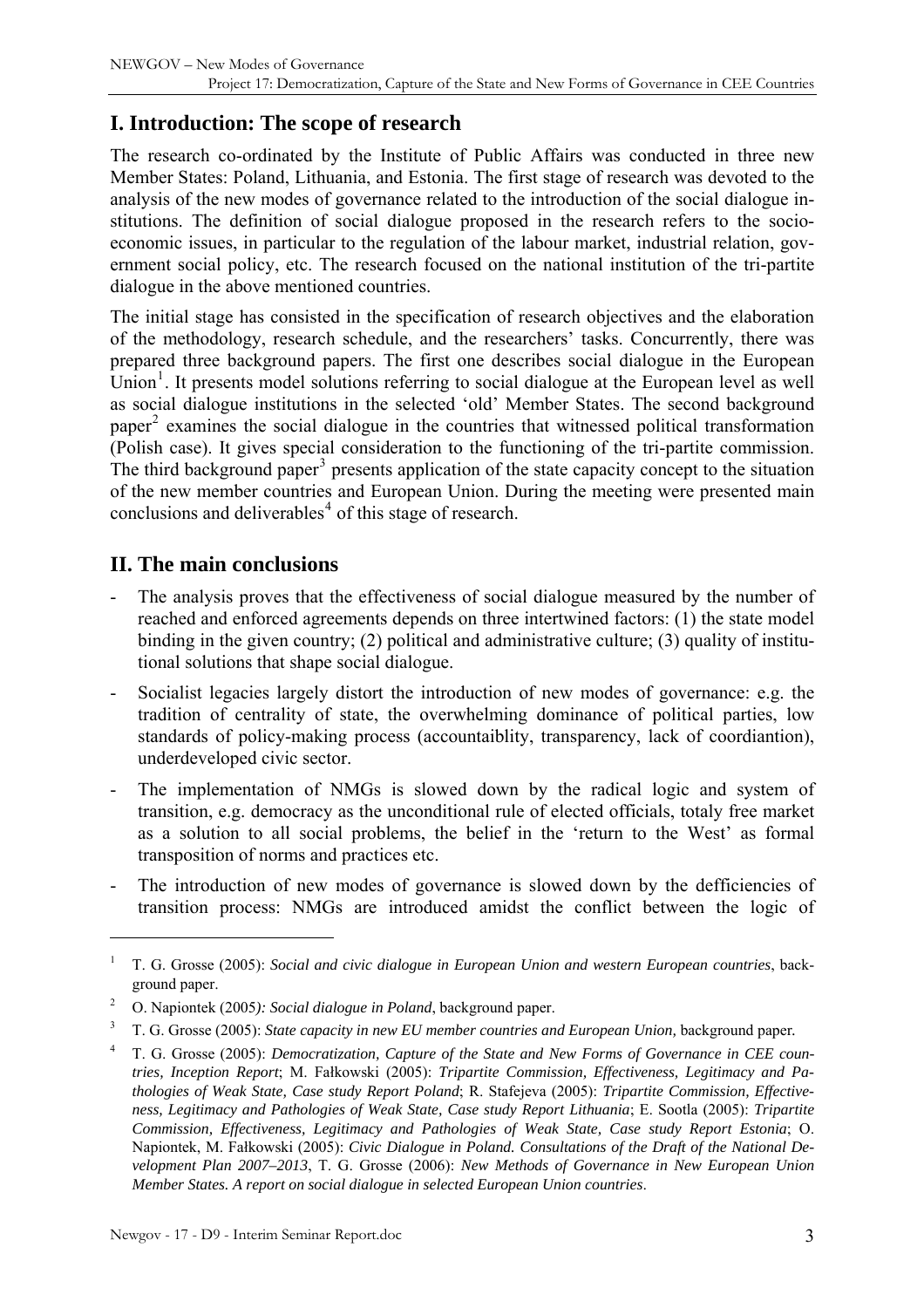# <span id="page-2-0"></span>**I. Introduction: The scope of research**

The research co-ordinated by the Institute of Public Affairs was conducted in three new Member States: Poland, Lithuania, and Estonia. The first stage of research was devoted to the analysis of the new modes of governance related to the introduction of the social dialogue institutions. The definition of social dialogue proposed in the research refers to the socioeconomic issues, in particular to the regulation of the labour market, industrial relation, government social policy, etc. The research focused on the national institution of the tri-partite dialogue in the above mentioned countries.

The initial stage has consisted in the specification of research objectives and the elaboration of the methodology, research schedule, and the researchers' tasks. Concurrently, there was prepared three background papers. The first one describes social dialogue in the European  $\text{Union}^1$  $\text{Union}^1$ . It presents model solutions referring to social dialogue at the European level as well as social dialogue institutions in the selected 'old' Member States. The second background paper<sup>[2](#page-2-2)</sup> examines the social dialogue in the countries that witnessed political transformation (Polish case). It gives special consideration to the functioning of the tri-partite commission. The third background paper<sup>[3](#page-2-3)</sup> presents application of the state capacity concept to the situation of the new member countries and European Union. During the meeting were presented main conclusions and deliverables<sup>[4](#page-2-4)</sup> of this stage of research.

### **II. The main conclusions**

- The analysis proves that the effectiveness of social dialogue measured by the number of reached and enforced agreements depends on three intertwined factors: (1) the state model binding in the given country; (2) political and administrative culture; (3) quality of institutional solutions that shape social dialogue.
- Socialist legacies largely distort the introduction of new modes of governance: e.g. the tradition of centrality of state, the overwhelming dominance of political parties, low standards of policy-making process (accountaiblity, transparency, lack of coordiantion), underdeveloped civic sector.
- The implementation of NMGs is slowed down by the radical logic and system of transition, e.g. democracy as the unconditional rule of elected officials, totaly free market as a solution to all social problems, the belief in the 'return to the West' as formal transposition of norms and practices etc.
- The introduction of new modes of governance is slowed down by the defficiencies of transition process: NMGs are introduced amidst the conflict between the logic of

<span id="page-2-1"></span><sup>1</sup> T. G. Grosse (2005): *Social and civic dialogue in European Union and western European countries*, background paper.

<span id="page-2-2"></span><sup>2</sup> O. Napiontek (2005*): Social dialogue in Poland*, background paper.

<span id="page-2-3"></span><sup>3</sup> T. G. Grosse (2005): *State capacity in new EU member countries and European Union,* background paper*.*

<span id="page-2-4"></span><sup>4</sup> T. G. Grosse (2005): *Democratization, Capture of the State and New Forms of Governance in CEE countries, Inception Report*; M. Fałkowski (2005): *Tripartite Commission, Effectiveness, Legitimacy and Pathologies of Weak State, Case study Report Poland*; R. Stafejeva (2005): *Tripartite Commission, Effectiveness, Legitimacy and Pathologies of Weak State, Case study Report Lithuania*; E. Sootla (2005): *Tripartite Commission, Effectiveness, Legitimacy and Pathologies of Weak State, Case study Report Estonia*; O. Napiontek, M. Fałkowski (2005): *Civic Dialogue in Poland. Consultations of the Draft of the National Development Plan 2007–2013*, T. G. Grosse (2006): *New Methods of Governance in New European Union Member States. A report on social dialogue in selected European Union countries*.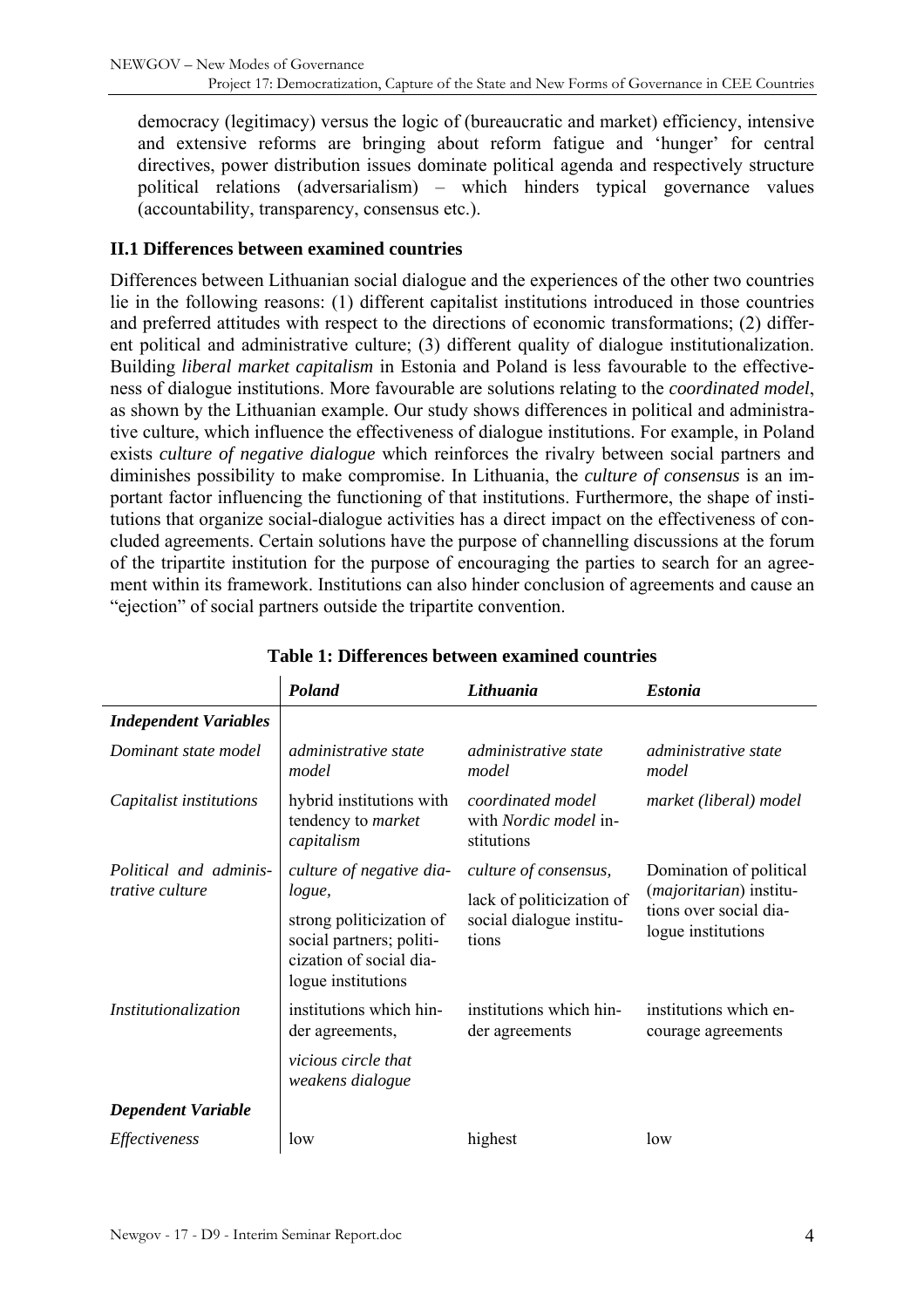<span id="page-3-0"></span>democracy (legitimacy) versus the logic of (bureaucratic and market) efficiency, intensive and extensive reforms are bringing about reform fatigue and 'hunger' for central directives, power distribution issues dominate political agenda and respectively structure political relations (adversarialism) – which hinders typical governance values (accountability, transparency, consensus etc.).

#### **II.1 Differences between examined countries**

Differences between Lithuanian social dialogue and the experiences of the other two countries lie in the following reasons: (1) different capitalist institutions introduced in those countries and preferred attitudes with respect to the directions of economic transformations; (2) different political and administrative culture; (3) different quality of dialogue institutionalization. Building *liberal market capitalism* in Estonia and Poland is less favourable to the effectiveness of dialogue institutions. More favourable are solutions relating to the *coordinated model*, as shown by the Lithuanian example. Our study shows differences in political and administrative culture, which influence the effectiveness of dialogue institutions. For example, in Poland exists *culture of negative dialogue* which reinforces the rivalry between social partners and diminishes possibility to make compromise. In Lithuania, the *culture of consensus* is an important factor influencing the functioning of that institutions. Furthermore, the shape of institutions that organize social-dialogue activities has a direct impact on the effectiveness of concluded agreements. Certain solutions have the purpose of channelling discussions at the forum of the tripartite institution for the purpose of encouraging the parties to search for an agreement within its framework. Institutions can also hinder conclusion of agreements and cause an "ejection" of social partners outside the tripartite convention.

|                              | Poland                                                                                                | Lithuania                                                       | <b>Estonia</b>                                                                                              |
|------------------------------|-------------------------------------------------------------------------------------------------------|-----------------------------------------------------------------|-------------------------------------------------------------------------------------------------------------|
| <b>Independent Variables</b> |                                                                                                       |                                                                 |                                                                                                             |
| Dominant state model         | <i>administrative state</i><br>model                                                                  | <i>administrative state</i><br>model                            | <i>administrative state</i><br>model                                                                        |
| Capitalist institutions      | hybrid institutions with<br>tendency to <i>market</i><br>capitalism                                   | coordinated model<br>with <i>Nordic model</i> in-<br>stitutions | market (liberal) model                                                                                      |
| Political and adminis-       | culture of negative dia-                                                                              | culture of consensus,                                           | Domination of political<br>( <i>majoritarian</i> ) institu-<br>tions over social dia-<br>logue institutions |
| <i>trative culture</i>       | logue,                                                                                                | lack of politicization of<br>social dialogue institu-<br>tions  |                                                                                                             |
|                              | strong politicization of<br>social partners; politi-<br>cization of social dia-<br>logue institutions |                                                                 |                                                                                                             |
| Institutionalization         | institutions which hin-<br>der agreements,                                                            | institutions which hin-<br>der agreements                       | institutions which en-<br>courage agreements                                                                |
|                              | vicious circle that<br>weakens dialogue                                                               |                                                                 |                                                                                                             |
| <b>Dependent Variable</b>    |                                                                                                       |                                                                 |                                                                                                             |
| Effectiveness                | low                                                                                                   | highest                                                         | low                                                                                                         |

#### **Table 1: Differences between examined countries**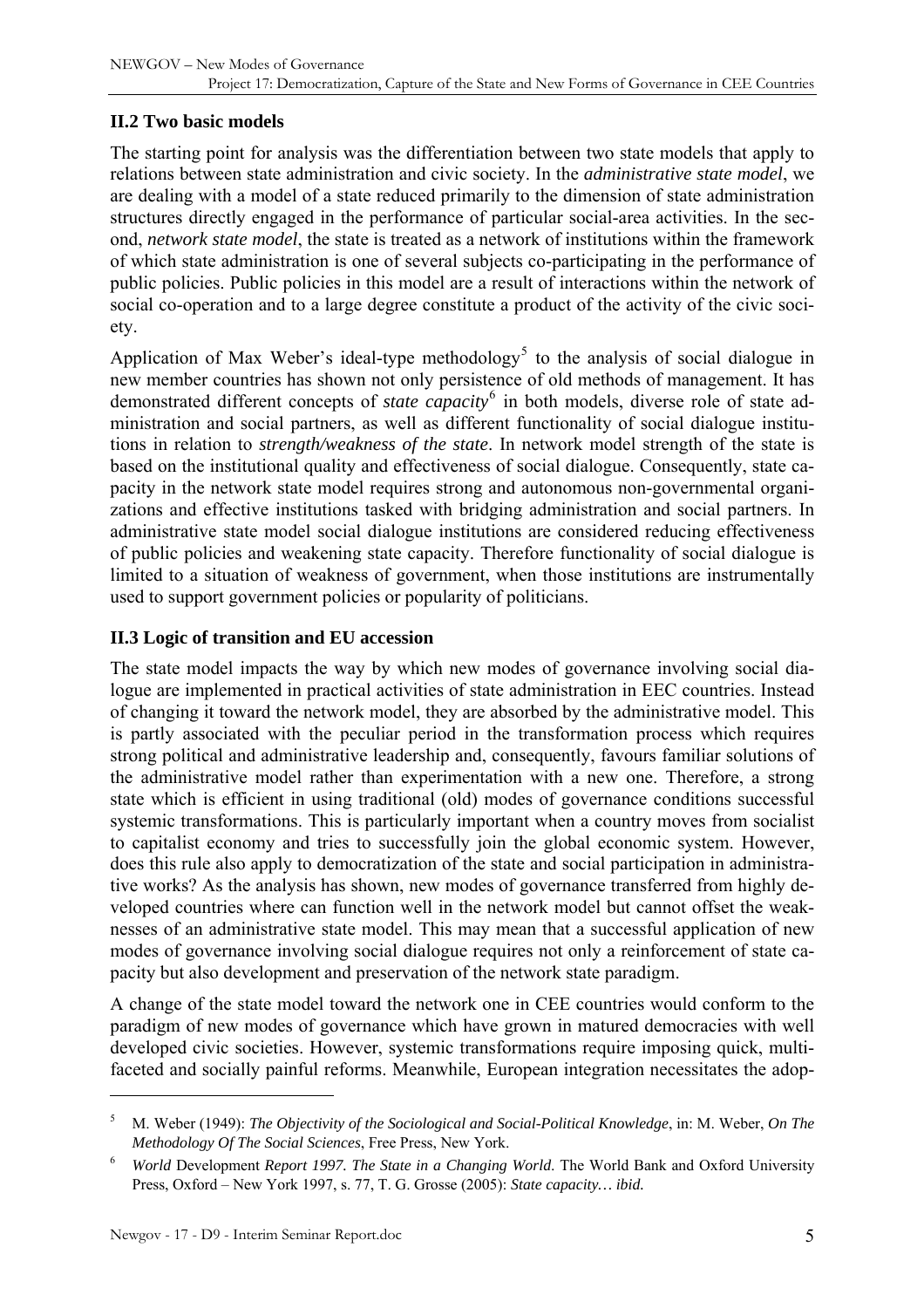#### <span id="page-4-0"></span>**II.2 Two basic models**

The starting point for analysis was the differentiation between two state models that apply to relations between state administration and civic society. In the *administrative state model*, we are dealing with a model of a state reduced primarily to the dimension of state administration structures directly engaged in the performance of particular social-area activities. In the second, *network state model*, the state is treated as a network of institutions within the framework of which state administration is one of several subjects co-participating in the performance of public policies. Public policies in this model are a result of interactions within the network of social co-operation and to a large degree constitute a product of the activity of the civic society.

Application of Max Weber's ideal-type methodology<sup>[5](#page-4-1)</sup> to the analysis of social dialogue in new member countries has shown not only persistence of old methods of management. It has demonstrated different concepts of *state capacity*<sup>[6](#page-4-2)</sup> in both models, diverse role of state administration and social partners, as well as different functionality of social dialogue institutions in relation to *strength/weakness of the state*. In network model strength of the state is based on the institutional quality and effectiveness of social dialogue. Consequently, state capacity in the network state model requires strong and autonomous non-governmental organizations and effective institutions tasked with bridging administration and social partners. In administrative state model social dialogue institutions are considered reducing effectiveness of public policies and weakening state capacity. Therefore functionality of social dialogue is limited to a situation of weakness of government, when those institutions are instrumentally used to support government policies or popularity of politicians.

#### **II.3 Logic of transition and EU accession**

The state model impacts the way by which new modes of governance involving social dialogue are implemented in practical activities of state administration in EEC countries. Instead of changing it toward the network model, they are absorbed by the administrative model. This is partly associated with the peculiar period in the transformation process which requires strong political and administrative leadership and, consequently, favours familiar solutions of the administrative model rather than experimentation with a new one. Therefore, a strong state which is efficient in using traditional (old) modes of governance conditions successful systemic transformations. This is particularly important when a country moves from socialist to capitalist economy and tries to successfully join the global economic system. However, does this rule also apply to democratization of the state and social participation in administrative works? As the analysis has shown, new modes of governance transferred from highly developed countries where can function well in the network model but cannot offset the weaknesses of an administrative state model. This may mean that a successful application of new modes of governance involving social dialogue requires not only a reinforcement of state capacity but also development and preservation of the network state paradigm.

A change of the state model toward the network one in CEE countries would conform to the paradigm of new modes of governance which have grown in matured democracies with well developed civic societies. However, systemic transformations require imposing quick, multifaceted and socially painful reforms. Meanwhile, European integration necessitates the adop-

<span id="page-4-1"></span><sup>5</sup> M. Weber (1949): *The Objectivity of the Sociological and Social-Political Knowledge*, in: M. Weber, *On The Methodology Of The Social Sciences*, Free Press, New York.

<span id="page-4-2"></span><sup>6</sup> *World* Development *Report 1997. The State in a Changing World*. The World Bank and Oxford University Press, Oxford – New York 1997, s. 77, T. G. Grosse (2005): *State capacity… ibid.*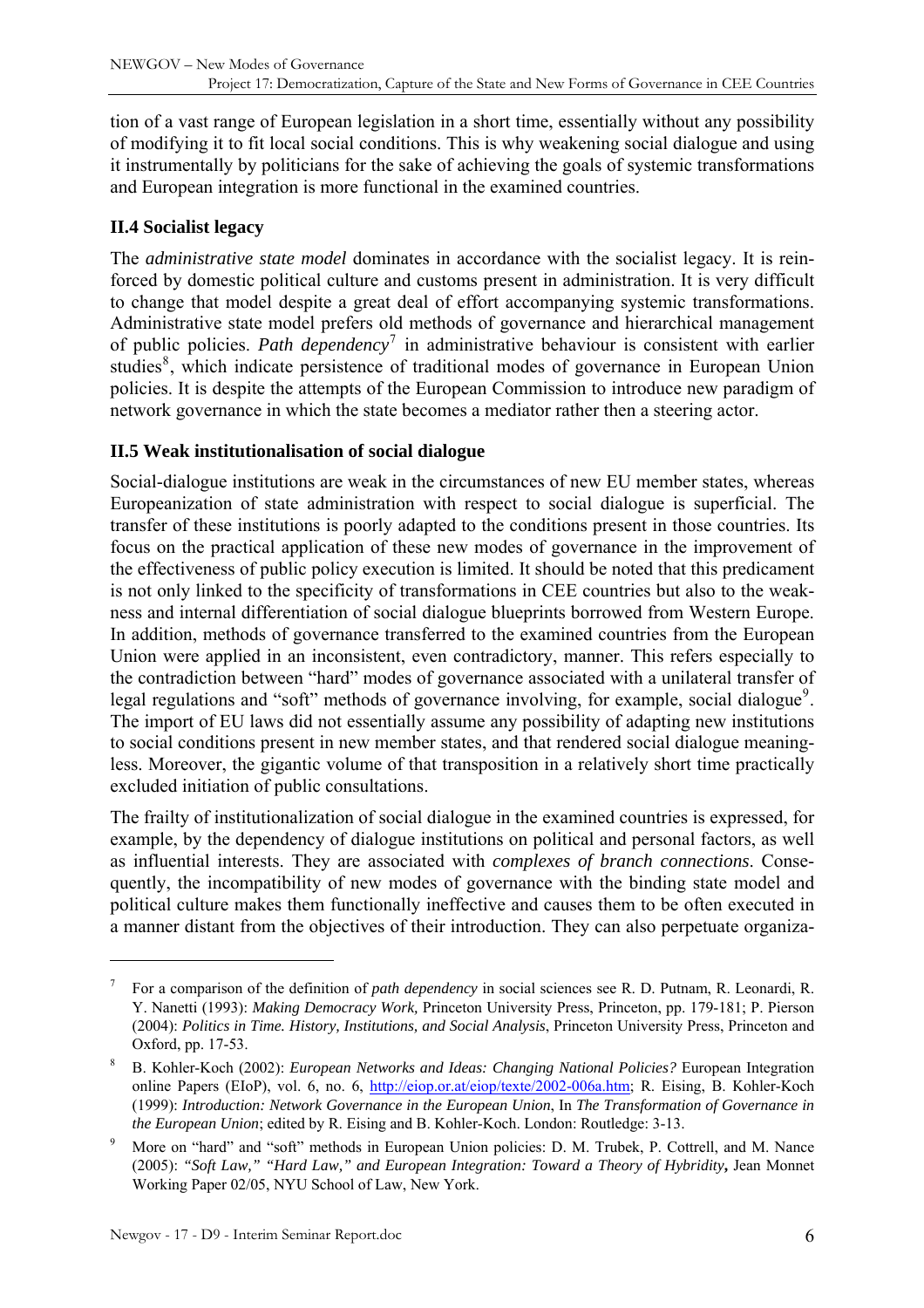<span id="page-5-0"></span>tion of a vast range of European legislation in a short time, essentially without any possibility of modifying it to fit local social conditions. This is why weakening social dialogue and using it instrumentally by politicians for the sake of achieving the goals of systemic transformations and European integration is more functional in the examined countries.

### **II.4 Socialist legacy**

The *administrative state model* dominates in accordance with the socialist legacy. It is reinforced by domestic political culture and customs present in administration. It is very difficult to change that model despite a great deal of effort accompanying systemic transformations. Administrative state model prefers old methods of governance and hierarchical management of public policies. *Path dependency*[7](#page-5-1) in administrative behaviour is consistent with earlier studies<sup>[8](#page-5-2)</sup>, which indicate persistence of traditional modes of governance in European Union policies. It is despite the attempts of the European Commission to introduce new paradigm of network governance in which the state becomes a mediator rather then a steering actor.

### **II.5 Weak institutionalisation of social dialogue**

Social-dialogue institutions are weak in the circumstances of new EU member states, whereas Europeanization of state administration with respect to social dialogue is superficial. The transfer of these institutions is poorly adapted to the conditions present in those countries. Its focus on the practical application of these new modes of governance in the improvement of the effectiveness of public policy execution is limited. It should be noted that this predicament is not only linked to the specificity of transformations in CEE countries but also to the weakness and internal differentiation of social dialogue blueprints borrowed from Western Europe. In addition, methods of governance transferred to the examined countries from the European Union were applied in an inconsistent, even contradictory, manner. This refers especially to the contradiction between "hard" modes of governance associated with a unilateral transfer of legal regulations and "soft" methods of governance involving, for example, social dialogue<sup>[9](#page-5-3)</sup>. The import of EU laws did not essentially assume any possibility of adapting new institutions to social conditions present in new member states, and that rendered social dialogue meaningless. Moreover, the gigantic volume of that transposition in a relatively short time practically excluded initiation of public consultations.

The frailty of institutionalization of social dialogue in the examined countries is expressed, for example, by the dependency of dialogue institutions on political and personal factors, as well as influential interests. They are associated with *complexes of branch connections*. Consequently, the incompatibility of new modes of governance with the binding state model and political culture makes them functionally ineffective and causes them to be often executed in a manner distant from the objectives of their introduction. They can also perpetuate organiza-

<span id="page-5-1"></span><sup>7</sup> For a comparison of the definition of *path dependency* in social sciences see R. D. Putnam, R. Leonardi, R. Y. Nanetti (1993): *Making Democracy Work,* Princeton University Press, Princeton, pp. 179-181; P. Pierson (2004): *Politics in Time. History, Institutions, and Social Analysis*, Princeton University Press, Princeton and Oxford, pp. 17-53.

<span id="page-5-2"></span><sup>8</sup> B. Kohler-Koch (2002): *European Networks and Ideas: Changing National Policies?* European Integration online Papers (EIoP), vol. 6, no. 6, [http://eiop.or.at/eiop/texte/2002-006a.htm;](http://eiop.or.at/eiop/texte/2002-006a.htm) R. Eising, B. Kohler-Koch (1999): *Introduction: Network Governance in the European Union*, In *The Transformation of Governance in the European Union*; edited by R. Eising and B. Kohler-Koch. London: Routledge: 3-13.

<span id="page-5-3"></span><sup>9</sup> More on "hard" and "soft" methods in European Union policies: D. M. Trubek, P. Cottrell, and M. Nance (2005): *"Soft Law," "Hard Law," and European Integration: Toward a Theory of Hybridity***,** Jean Monnet Working Paper 02/05, NYU School of Law, New York.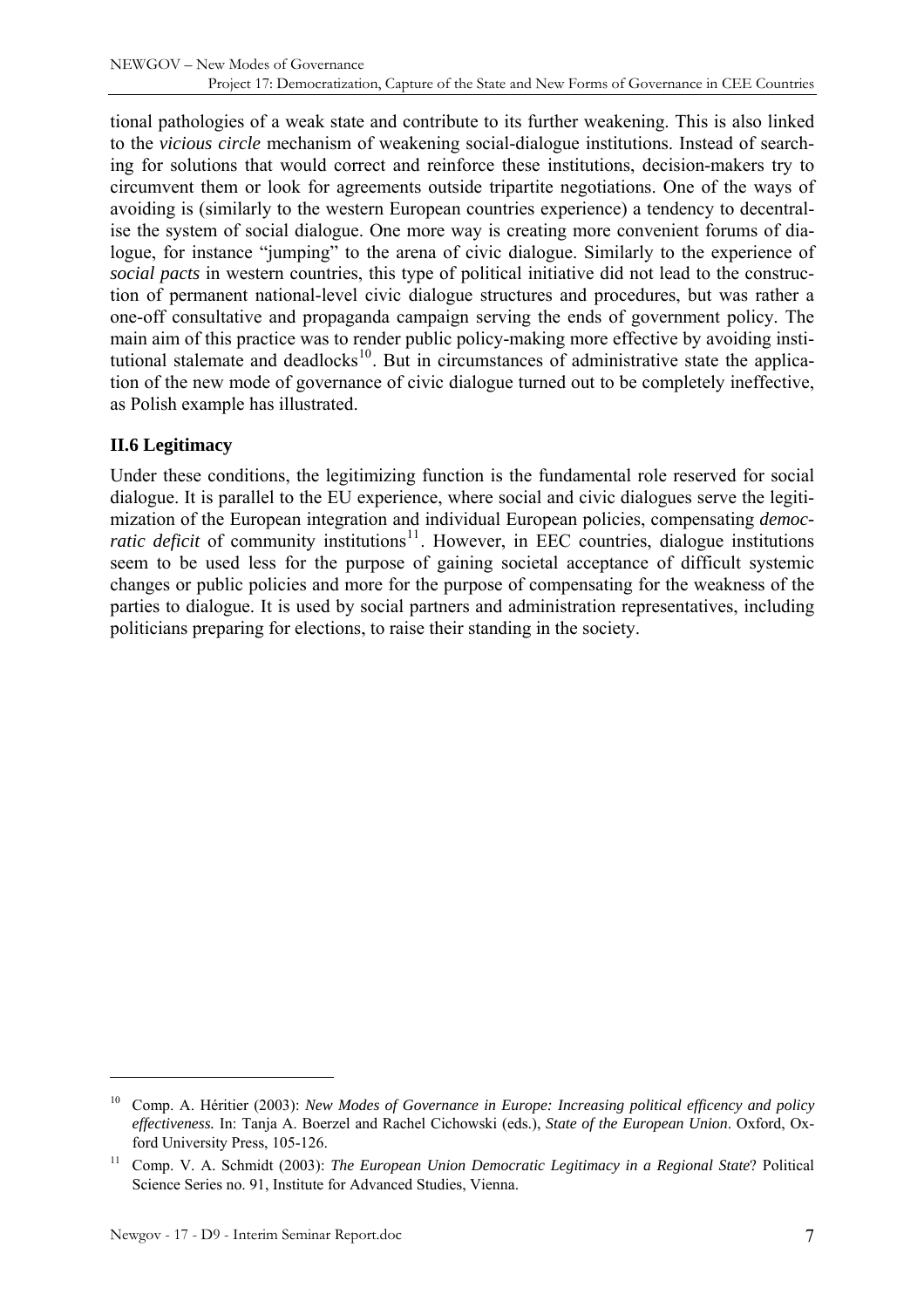<span id="page-6-0"></span>tional pathologies of a weak state and contribute to its further weakening. This is also linked to the *vicious circle* mechanism of weakening social-dialogue institutions. Instead of searching for solutions that would correct and reinforce these institutions, decision-makers try to circumvent them or look for agreements outside tripartite negotiations. One of the ways of avoiding is (similarly to the western European countries experience) a tendency to decentralise the system of social dialogue. One more way is creating more convenient forums of dialogue, for instance "jumping" to the arena of civic dialogue. Similarly to the experience of *social pacts* in western countries, this type of political initiative did not lead to the construction of permanent national-level civic dialogue structures and procedures, but was rather a one-off consultative and propaganda campaign serving the ends of government policy. The main aim of this practice was to render public policy-making more effective by avoiding insti-tutional stalemate and deadlocks<sup>[10](#page-6-1)</sup>. But in circumstances of administrative state the application of the new mode of governance of civic dialogue turned out to be completely ineffective, as Polish example has illustrated.

### **II.6 Legitimacy**

Under these conditions, the legitimizing function is the fundamental role reserved for social dialogue. It is parallel to the EU experience, where social and civic dialogues serve the legitimization of the European integration and individual European policies, compensating *democratic deficit* of community institutions<sup>[11](#page-6-2)</sup>. However, in EEC countries, dialogue institutions seem to be used less for the purpose of gaining societal acceptance of difficult systemic changes or public policies and more for the purpose of compensating for the weakness of the parties to dialogue. It is used by social partners and administration representatives, including politicians preparing for elections, to raise their standing in the society.

<span id="page-6-1"></span><sup>10</sup> Comp. A. Héritier (2003): *New Modes of Governance in Europe: Increasing political efficency and policy effectiveness.* In: Tanja A. Boerzel and Rachel Cichowski (eds.), *State of the European Union*. Oxford, Oxford University Press, 105-126.

<span id="page-6-2"></span><sup>11</sup> Comp. V. A. Schmidt (2003): *The European Union Democratic Legitimacy in a Regional State*? Political Science Series no. 91, Institute for Advanced Studies, Vienna.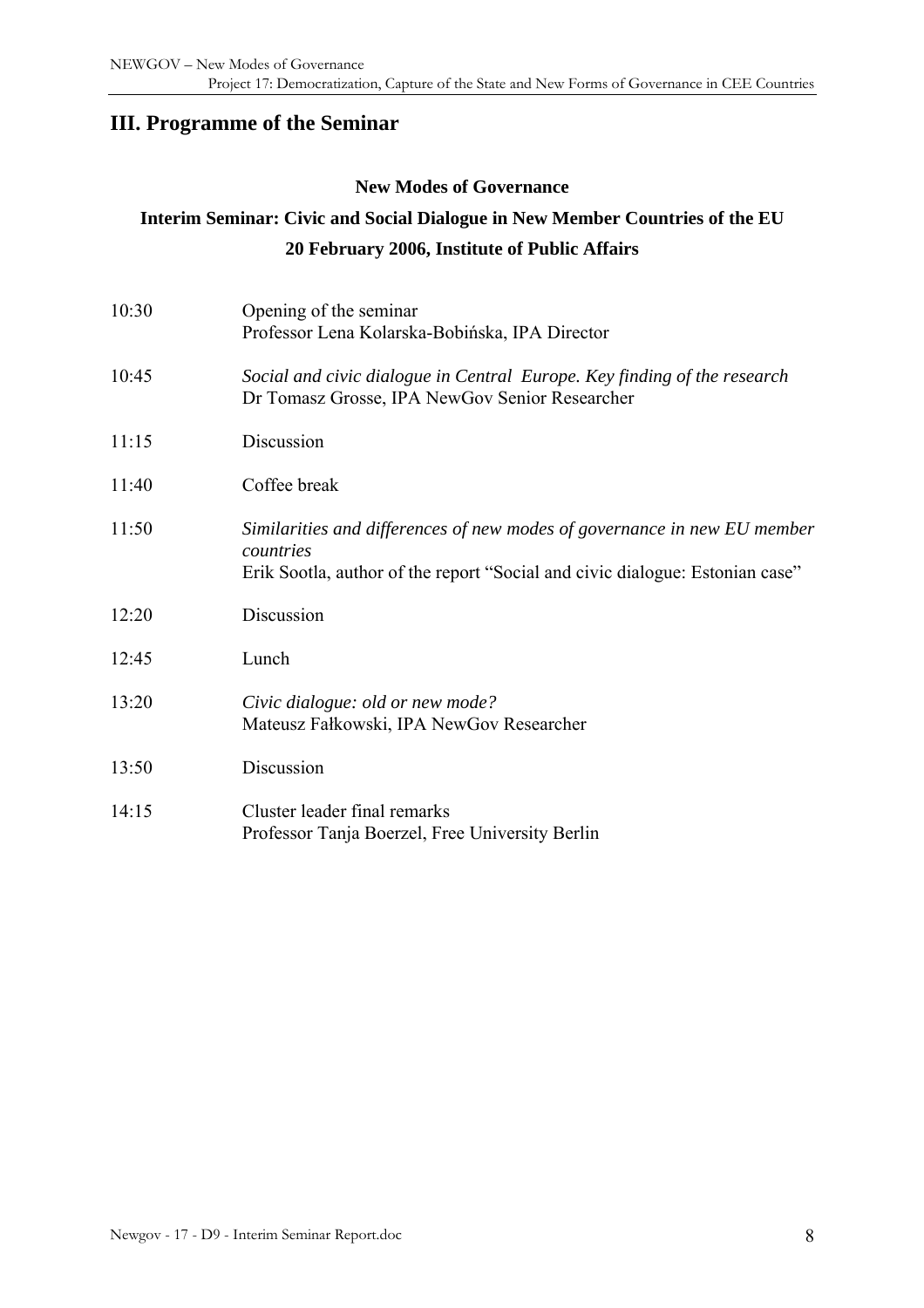# <span id="page-7-0"></span>**III. Programme of the Seminar**

#### **New Modes of Governance**

# **Interim Seminar: Civic and Social Dialogue in New Member Countries of the EU 20 February 2006, Institute of Public Affairs**

| 10:30 | Opening of the seminar<br>Professor Lena Kolarska-Bobińska, IPA Director                                                                                              |
|-------|-----------------------------------------------------------------------------------------------------------------------------------------------------------------------|
| 10:45 | Social and civic dialogue in Central Europe. Key finding of the research<br>Dr Tomasz Grosse, IPA NewGov Senior Researcher                                            |
| 11:15 | Discussion                                                                                                                                                            |
| 11:40 | Coffee break                                                                                                                                                          |
| 11:50 | Similarities and differences of new modes of governance in new EU member<br>countries<br>Erik Sootla, author of the report "Social and civic dialogue: Estonian case" |
| 12:20 | Discussion                                                                                                                                                            |
| 12:45 | Lunch                                                                                                                                                                 |
| 13:20 | Civic dialogue: old or new mode?<br>Mateusz Fałkowski, IPA NewGov Researcher                                                                                          |
| 13:50 | Discussion                                                                                                                                                            |
| 14:15 | Cluster leader final remarks<br>Professor Tanja Boerzel, Free University Berlin                                                                                       |